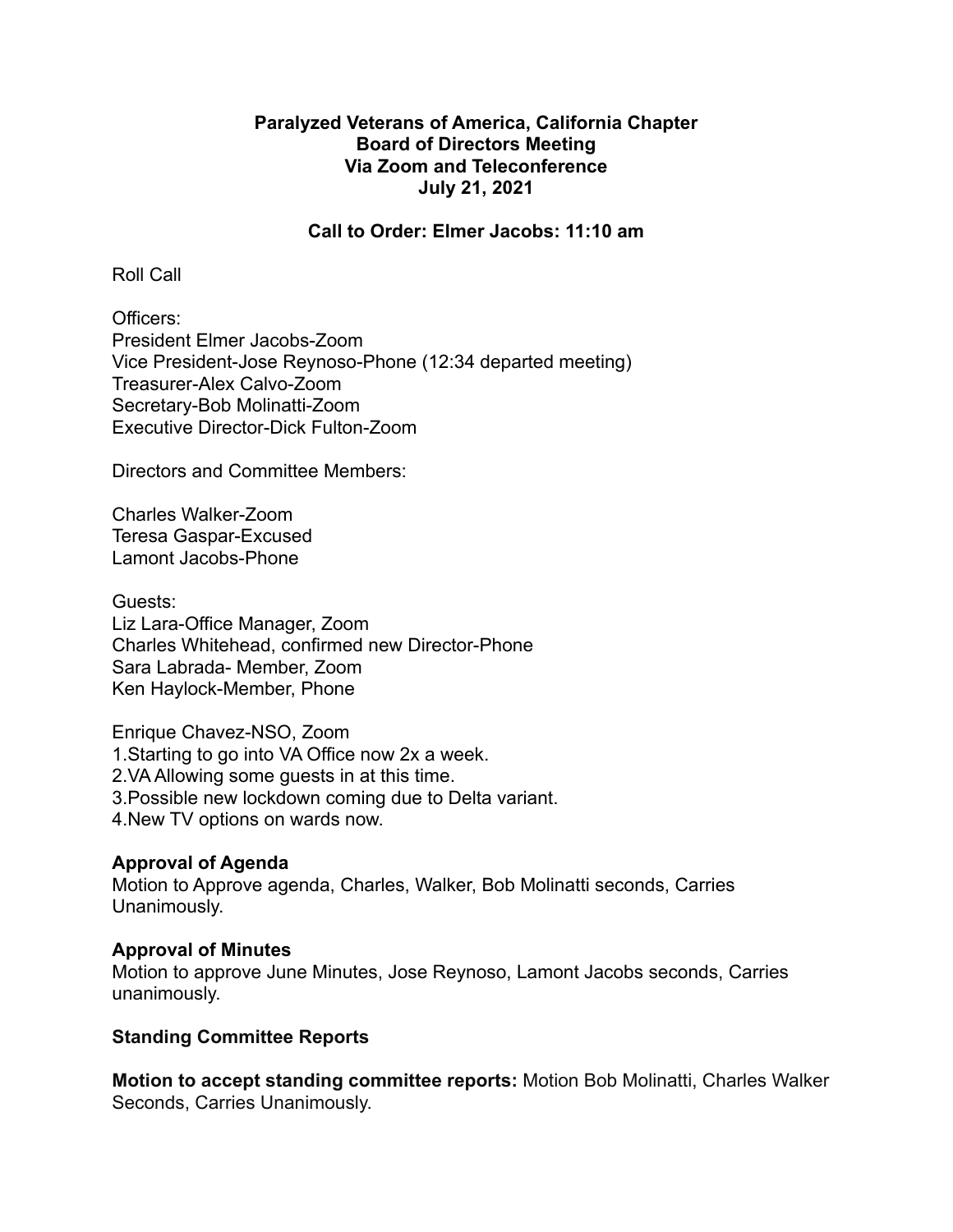# **Paralyzed Veterans of America, California Chapter Board of Directors Meeting Via Zoom and Teleconference July 21, 2021**

#### **Call to Order: Elmer Jacobs: 11:10 am**

Roll Call

Officers: President Elmer Jacobs-Zoom Vice President-Jose Reynoso-Phone (12:34 departed meeting) Treasurer-Alex Calvo-Zoom Secretary-Bob Molinatti-Zoom Executive Director-Dick Fulton-Zoom

Directors and Committee Members:

Charles Walker-Zoom Teresa Gaspar-Excused Lamont Jacobs-Phone

Guests: Liz Lara-Office Manager, Zoom Charles Whitehead, confirmed new Director-Phone Sara Labrada- Member, Zoom Ken Haylock-Member, Phone

Enrique Chavez-NSO, Zoom 1.Starting to go into VA Office now 2x a week. 2.VA Allowing some guests in at this time. 3.Possible new lockdown coming due to Delta variant. 4.New TV options on wards now.

# **Approval of Agenda**

Motion to Approve agenda, Charles, Walker, Bob Molinatti seconds, Carries Unanimously.

# **Approval of Minutes**

Motion to approve June Minutes, Jose Reynoso, Lamont Jacobs seconds, Carries unanimously.

# **Standing Committee Reports**

**Motion to accept standing committee reports:** Motion Bob Molinatti, Charles Walker Seconds, Carries Unanimously.